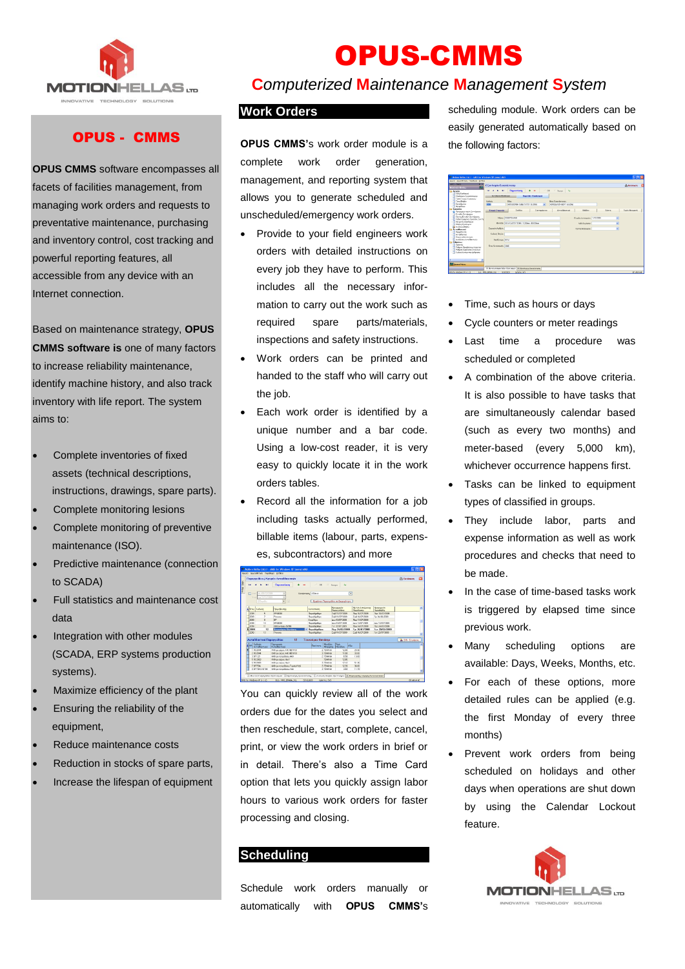

## OPUS - CMMS

**OPUS CMMS** software encompasses all facets of facilities management, from managing work orders and requests to preventative maintenance, purchasing and inventory control, cost tracking and powerful reporting features, all accessible from any device with an Internet connection.

Based on maintenance strategy, **OPUS CMMS software is** one of many factors to increase reliability maintenance, identify machine history, and also track inventory with life report. The system aims to:

- Complete inventories of fixed assets (technical descriptions, instructions, drawings, spare parts).
- Complete monitoring lesions
- Complete monitoring of preventive maintenance (ISO).
- Predictive maintenance (connection to SCADA)
- Full statistics and maintenance cost data
- Integration with other modules (SCADA, ERP systems production systems).
- Maximize efficiency of the plant
- Ensuring the reliability of the equipment,
- Reduce maintenance costs
- Reduction in stocks of spare parts,
- Increase the lifespan of equipment

# OPUS-CMMS

## **C***omputerized* **M***aintenance* **M***anagement* **S***ystem*

#### **Work Orders**

**OPUS CMMS'**s work order module is a complete work order generation, management, and reporting system that allows you to generate scheduled and unscheduled/emergency work orders.

- Provide to your field engineers work orders with detailed instructions on every job they have to perform. This includes all the necessary information to carry out the work such as required spare parts/materials, inspections and safety instructions.
- Work orders can be printed and handed to the staff who will carry out the job.
- Each work order is identified by a unique number and a bar code. Using a low-cost reader, it is very easy to quickly locate it in the work orders tables.
- Record all the information for a job including tasks actually performed, billable items (labour, parts, expenses, subcontractors) and more



You can quickly review all of the work orders due for the dates you select and then reschedule, start, complete, cancel, print, or view the work orders in brief or in detail. There's also a Time Card option that lets you quickly assign labor hours to various work orders for faster processing and closing.

#### **Scheduling**

Schedule work orders manually or automatically with **OPUS CMMS'**s scheduling module. Work orders can be easily generated automatically based on the following factors:

| 27 metics Helbs Ltd.c., MW for Windows XP from MWS                       |                                                                                                                    | <b>FIFIX</b>       |
|--------------------------------------------------------------------------|--------------------------------------------------------------------------------------------------------------------|--------------------|
| Analy Angelfreys Davidue Sydney                                          |                                                                                                                    |                    |
| <b>ANG., Mine</b><br>$\overline{1}$<br>×.                                | <b>Etenhoyés Exactérians</b>                                                                                       | <b>Zi Ecolomen</b> |
| <b>Books Menu</b>                                                        | <b><i><u>Representance</u></i></b><br>$+   +$ $+$ $+$ $+$ $+$ $+$ $+$ $+$<br>$\mathbf{r}$<br>144<br>$\overline{a}$ |                    |
| <b>Ca Avente</b>                                                         |                                                                                                                    |                    |
| <b>City Harthman</b><br>Elimboute Every donorme<br>Timo Formin Engorador | <b>Forehouse Elizabouse</b><br><b>Keenida Elephonei</b>                                                            |                    |
| Tires Bloking                                                            | Kulledge<br>Ellen:<br>Glos Exemistraces                                                                            |                    |
| Graddenin                                                                | <b>NEED ANNOUNCES</b> EARLY ENGINEERS<br><b>SERI</b><br><b>NETABORNH TANKA TYPEY SUBMIS</b>                        |                    |
| <b>Harankhow</b>                                                         |                                                                                                                    |                    |
| Fennales                                                                 | Avenibarreal<br><b>Fored Execute</b><br>$2$ m/d and<br>Envyptone<br><b>Biblion</b><br><b>Stores</b>                | Tractic Mergaevity |
| Ca Documentado Transporta<br><b>Fredric Tounkname</b>                    |                                                                                                                    |                    |
| Kilonee Evrolije Teorilenma                                              |                                                                                                                    |                    |
| Kelkernsmalves Exveries Surviv                                           | <b>Miami EQSEROMANI</b><br>Evalistanaesia 1.10/200<br>٠                                                            |                    |
| McGonic Elanhause                                                        | Mercile (MACGARD/1736) 170366 4103566<br><b>NG-Dydens</b><br>۷Ì                                                    |                    |
| <b>Shaho: Glanbourg</b>                                                  |                                                                                                                    |                    |
| <b>La</b> duration filterior<br>Arrabbarunt                              | <b>Zeusarde Auflage</b><br>٠<br>Note belowers                                                                      |                    |
| Toyothunis                                                               |                                                                                                                    |                    |
| Avendingman                                                              | <b>Kudasic Davies</b>                                                                                              |                    |
| Reported Backwoods                                                       |                                                                                                                    |                    |
| Authority AutoMachine                                                    | <b>Indiana</b> (159)                                                                                               |                    |
| <b><i><u>Figuress</u></i></b><br><b>Storage</b>                          |                                                                                                                    |                    |
| Polyon Deathlows Newman                                                  | TracKeramoutic 2008                                                                                                |                    |
| <b>Púlson Fundazine Tenaziun</b>                                         |                                                                                                                    |                    |
| <b>Euffert Archaeon Artheory</b>                                         |                                                                                                                    |                    |
|                                                                          |                                                                                                                    |                    |
|                                                                          |                                                                                                                    |                    |
|                                                                          |                                                                                                                    |                    |
| <b>Rid committee</b>                                                     |                                                                                                                    |                    |
|                                                                          | 30 Westchmalan Mark Hartness (Kitterstead); Euronianancy                                                           |                    |
|                                                                          |                                                                                                                    |                    |

- Time, such as hours or days
- Cycle counters or meter readings
- Last time a procedure was scheduled or completed
- A combination of the above criteria. It is also possible to have tasks that are simultaneously calendar based (such as every two months) and meter-based (every 5,000 km), whichever occurrence happens first.
- Tasks can be linked to equipment types of classified in groups.
- They include labor, parts and expense information as well as work procedures and checks that need to be made.
- In the case of time-based tasks work is triggered by elapsed time since previous work.
- Many scheduling options are available: Days, Weeks, Months, etc.
- For each of these options, more detailed rules can be applied (e.g. the first Monday of every three months)
- Prevent work orders from being scheduled on holidays and other days when operations are shut down by using the Calendar Lockout feature.